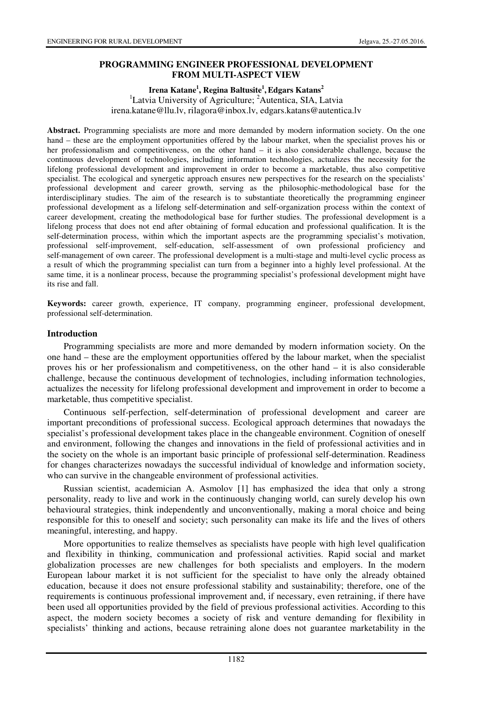# **PROGRAMMING ENGINEER PROFESSIONAL DEVELOPMENT FROM MULTI-ASPECT VIEW**

# **Irena Katane<sup>1</sup> , Regina Baltusite<sup>1</sup> , Edgars Katans<sup>2</sup>**

<sup>1</sup>Latvia University of Agriculture;  ${}^{2}$ Autentica, SIA, Latvia irena.katane@llu.lv, rilagora@inbox.lv, edgars.katans@autentica.lv

**Abstract.** Programming specialists are more and more demanded by modern information society. On the one hand – these are the employment opportunities offered by the labour market, when the specialist proves his or her professionalism and competitiveness, on the other hand – it is also considerable challenge, because the continuous development of technologies, including information technologies, actualizes the necessity for the lifelong professional development and improvement in order to become a marketable, thus also competitive specialist. The ecological and synergetic approach ensures new perspectives for the research on the specialists' professional development and career growth, serving as the philosophic-methodological base for the interdisciplinary studies. The aim of the research is to substantiate theoretically the programming engineer professional development as a lifelong self-determination and self-organization process within the context of career development, creating the methodological base for further studies. The professional development is a lifelong process that does not end after obtaining of formal education and professional qualification. It is the self-determination process, within which the important aspects are the programming specialist's motivation, professional self-improvement, self-education, self-assessment of own professional proficiency and self-management of own career. The professional development is a multi-stage and multi-level cyclic process as a result of which the programming specialist can turn from a beginner into a highly level professional. At the same time, it is a nonlinear process, because the programming specialist's professional development might have its rise and fall.

**Keywords:** career growth, experience, IT company, programming engineer, professional development, professional self-determination.

#### **Introduction**

Programming specialists are more and more demanded by modern information society. On the one hand – these are the employment opportunities offered by the labour market, when the specialist proves his or her professionalism and competitiveness, on the other hand – it is also considerable challenge, because the continuous development of technologies, including information technologies, actualizes the necessity for lifelong professional development and improvement in order to become a marketable, thus competitive specialist.

Continuous self-perfection, self-determination of professional development and career are important preconditions of professional success. Ecological approach determines that nowadays the specialist's professional development takes place in the changeable environment. Cognition of oneself and environment, following the changes and innovations in the field of professional activities and in the society on the whole is an important basic principle of professional self-determination. Readiness for changes characterizes nowadays the successful individual of knowledge and information society, who can survive in the changeable environment of professional activities.

Russian scientist, academician A. Asmolov [1] has emphasized the idea that only a strong personality, ready to live and work in the continuously changing world, can surely develop his own behavioural strategies, think independently and unconventionally, making a moral choice and being responsible for this to oneself and society; such personality can make its life and the lives of others meaningful, interesting, and happy.

More opportunities to realize themselves as specialists have people with high level qualification and flexibility in thinking, communication and professional activities. Rapid social and market globalization processes are new challenges for both specialists and employers. In the modern European labour market it is not sufficient for the specialist to have only the already obtained education, because it does not ensure professional stability and sustainability; therefore, one of the requirements is continuous professional improvement and, if necessary, even retraining, if there have been used all opportunities provided by the field of previous professional activities. According to this aspect, the modern society becomes a society of risk and venture demanding for flexibility in specialists' thinking and actions, because retraining alone does not guarantee marketability in the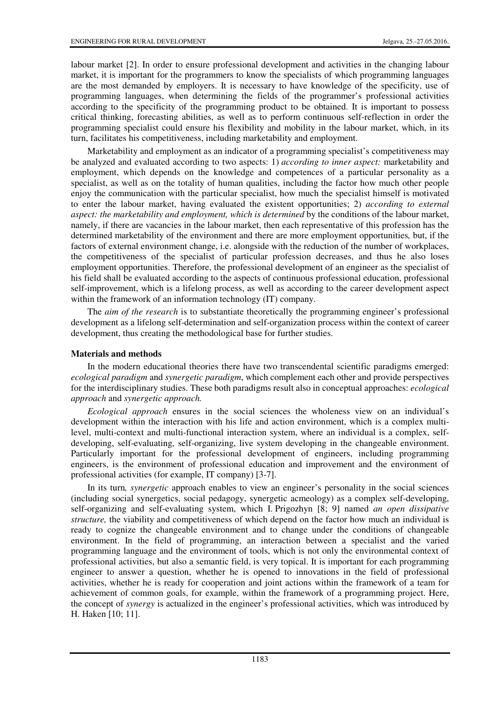labour market [2]. In order to ensure professional development and activities in the changing labour market, it is important for the programmers to know the specialists of which programming languages are the most demanded by employers. It is necessary to have knowledge of the specificity, use of programming languages, when determining the fields of the programmer's professional activities according to the specificity of the programming product to be obtained. It is important to possess critical thinking, forecasting abilities, as well as to perform continuous self-reflection in order the programming specialist could ensure his flexibility and mobility in the labour market, which, in its turn, facilitates his competitiveness, including marketability and employment.

Marketability and employment as an indicator of a programming specialist's competitiveness may be analyzed and evaluated according to two aspects: 1) *according to inner aspect:* marketability and employment, which depends on the knowledge and competences of a particular personality as a specialist, as well as on the totality of human qualities, including the factor how much other people enjoy the communication with the particular specialist, how much the specialist himself is motivated to enter the labour market, having evaluated the existent opportunities; 2) *according to external aspect: the marketability and employment, which is determined* by the conditions of the labour market, namely, if there are vacancies in the labour market, then each representative of this profession has the determined marketability of the environment and there are more employment opportunities*,* but, if the factors of external environment change, i.e. alongside with the reduction of the number of workplaces, the competitiveness of the specialist of particular profession decreases, and thus he also loses employment opportunities. Therefore, the professional development of an engineer as the specialist of his field shall be evaluated according to the aspects of continuous professional education, professional self-improvement, which is a lifelong process, as well as according to the career development aspect within the framework of an information technology (IT) company.

The *aim of the research* is to substantiate theoretically the programming engineer's professional development as a lifelong self-determination and self-organization process within the context of career development, thus creating the methodological base for further studies.

### **Materials and methods**

In the modern educational theories there have two transcendental scientific paradigms emerged: *ecological paradigm* and *synergetic paradigm*, which complement each other and provide perspectives for the interdisciplinary studies. These both paradigms result also in conceptual approaches: *ecological approach* and *synergetic approach.* 

*Ecological approach* ensures in the social sciences the wholeness view on an individual's development within the interaction with his life and action environment, which is a complex multilevel, multi-context and multi-functional interaction system, where an individual is a complex, selfdeveloping, self-evaluating, self-organizing, live system developing in the changeable environment. Particularly important for the professional development of engineers, including programming engineers, is the environment of professional education and improvement and the environment of professional activities (for example, IT company) [3-7].

In its turn*, synergetic* approach enables to view an engineer's personality in the social sciences (including social synergetics, social pedagogy, synergetic acmeology) as a complex self-developing, self-organizing and self-evaluating system, which I. Prigozhyn [8; 9] named *an open dissipative structure,* the viability and competitiveness of which depend on the factor how much an individual is ready to cognize the changeable environment and to change under the conditions of changeable environment. In the field of programming, an interaction between a specialist and the varied programming language and the environment of tools, which is not only the environmental context of professional activities, but also a semantic field, is very topical. It is important for each programming engineer to answer a question, whether he is opened to innovations in the field of professional activities, whether he is ready for cooperation and joint actions within the framework of a team for achievement of common goals, for example, within the framework of a programming project. Here, the concept of *synergy* is actualized in the engineer's professional activities, which was introduced by H. Haken [10; 11].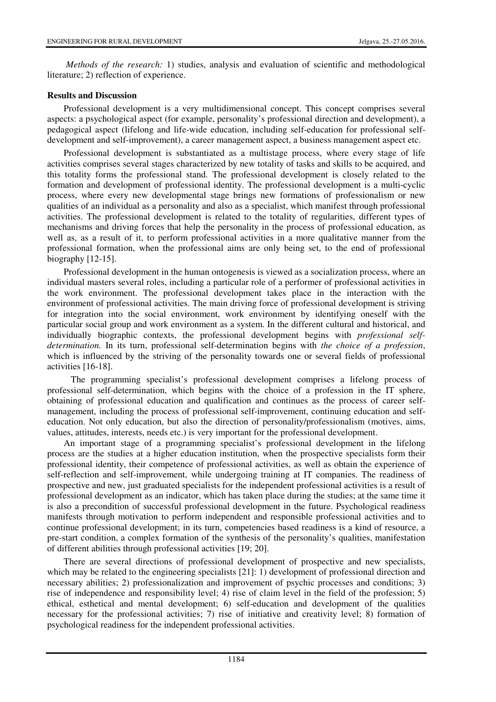*Methods of the research:* 1) studies, analysis and evaluation of scientific and methodological literature; 2) reflection of experience.

### **Results and Discussion**

Professional development is a very multidimensional concept. This concept comprises several aspects: a psychological aspect (for example, personality's professional direction and development), a pedagogical aspect (lifelong and life-wide education, including self-education for professional selfdevelopment and self-improvement), a career management aspect, a business management aspect etc.

Professional development is substantiated as a multistage process, where every stage of life activities comprises several stages characterized by new totality of tasks and skills to be acquired, and this totality forms the professional stand. The professional development is closely related to the formation and development of professional identity. The professional development is a multi-cyclic process, where every new developmental stage brings new formations of professionalism or new qualities of an individual as a personality and also as a specialist, which manifest through professional activities. The professional development is related to the totality of regularities, different types of mechanisms and driving forces that help the personality in the process of professional education, as well as, as a result of it, to perform professional activities in a more qualitative manner from the professional formation, when the professional aims are only being set, to the end of professional biography [12-15].

Professional development in the human ontogenesis is viewed as a socialization process, where an individual masters several roles, including a particular role of a performer of professional activities in the work environment. The professional development takes place in the interaction with the environment of professional activities. The main driving force of professional development is striving for integration into the social environment, work environment by identifying oneself with the particular social group and work environment as a system. In the different cultural and historical, and individually biographic contexts, the professional development begins with *professional selfdetermination.* In its turn, professional self-determination begins with *the choice of a profession*, which is influenced by the striving of the personality towards one or several fields of professional activities [16-18].

The programming specialist's professional development comprises a lifelong process of professional self-determination, which begins with the choice of a profession in the IT sphere, obtaining of professional education and qualification and continues as the process of career selfmanagement, including the process of professional self-improvement, continuing education and selfeducation. Not only education, but also the direction of personality/professionalism (motives, aims, values, attitudes, interests, needs etc.) is very important for the professional development.

An important stage of a programming specialist's professional development in the lifelong process are the studies at a higher education institution, when the prospective specialists form their professional identity, their competence of professional activities, as well as obtain the experience of self-reflection and self-improvement, while undergoing training at IT companies. The readiness of prospective and new, just graduated specialists for the independent professional activities is a result of professional development as an indicator, which has taken place during the studies; at the same time it is also a precondition of successful professional development in the future. Psychological readiness manifests through motivation to perform independent and responsible professional activities and to continue professional development; in its turn, competencies based readiness is a kind of resource, a pre-start condition, a complex formation of the synthesis of the personality's qualities, manifestation of different abilities through professional activities [19; 20].

There are several directions of professional development of prospective and new specialists, which may be related to the engineering specialists [21]: 1) development of professional direction and necessary abilities; 2) professionalization and improvement of psychic processes and conditions; 3) rise of independence and responsibility level; 4) rise of claim level in the field of the profession; 5) ethical, esthetical and mental development; 6) self-education and development of the qualities necessary for the professional activities; 7) rise of initiative and creativity level; 8) formation of psychological readiness for the independent professional activities.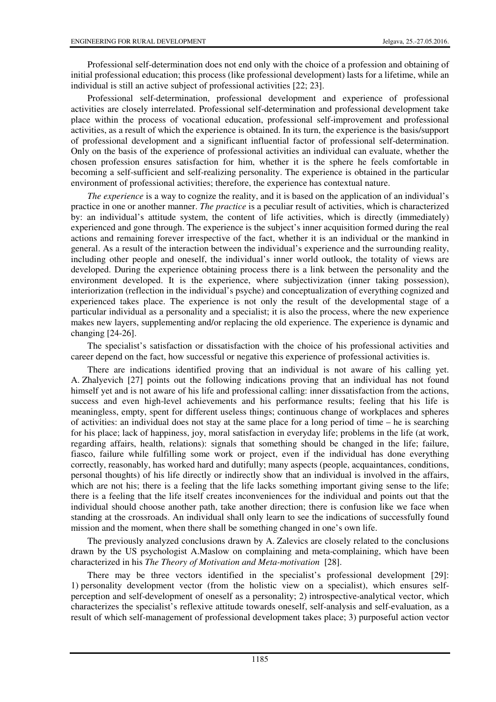Professional self-determination does not end only with the choice of a profession and obtaining of initial professional education; this process (like professional development) lasts for a lifetime, while an individual is still an active subject of professional activities [22; 23].

Professional self-determination, professional development and experience of professional activities are closely interrelated. Professional self-determination and professional development take place within the process of vocational education, professional self-improvement and professional activities, as a result of which the experience is obtained. In its turn, the experience is the basis/support of professional development and a significant influential factor of professional self-determination. Only on the basis of the experience of professional activities an individual can evaluate, whether the chosen profession ensures satisfaction for him, whether it is the sphere he feels comfortable in becoming a self-sufficient and self-realizing personality. The experience is obtained in the particular environment of professional activities; therefore, the experience has contextual nature.

*The experience* is a way to cognize the reality, and it is based on the application of an individual's practice in one or another manner. *The practice* is a peculiar result of activities, which is characterized by: an individual's attitude system, the content of life activities, which is directly (immediately) experienced and gone through. The experience is the subject's inner acquisition formed during the real actions and remaining forever irrespective of the fact, whether it is an individual or the mankind in general. As a result of the interaction between the individual's experience and the surrounding reality, including other people and oneself, the individual's inner world outlook, the totality of views are developed. During the experience obtaining process there is a link between the personality and the environment developed. It is the experience, where subjectivization (inner taking possession), interiorization (reflection in the individual's psyche) and conceptualization of everything cognized and experienced takes place. The experience is not only the result of the developmental stage of a particular individual as a personality and a specialist; it is also the process, where the new experience makes new layers, supplementing and/or replacing the old experience. The experience is dynamic and changing [24-26].

The specialist's satisfaction or dissatisfaction with the choice of his professional activities and career depend on the fact, how successful or negative this experience of professional activities is.

There are indications identified proving that an individual is not aware of his calling yet. A. Zhalyevich [27] points out the following indications proving that an individual has not found himself yet and is not aware of his life and professional calling: inner dissatisfaction from the actions, success and even high-level achievements and his performance results; feeling that his life is meaningless, empty, spent for different useless things; continuous change of workplaces and spheres of activities: an individual does not stay at the same place for a long period of time – he is searching for his place; lack of happiness, joy, moral satisfaction in everyday life; problems in the life (at work, regarding affairs, health, relations): signals that something should be changed in the life; failure, fiasco, failure while fulfilling some work or project, even if the individual has done everything correctly, reasonably, has worked hard and dutifully; many aspects (people, acquaintances, conditions, personal thoughts) of his life directly or indirectly show that an individual is involved in the affairs, which are not his; there is a feeling that the life lacks something important giving sense to the life; there is a feeling that the life itself creates inconveniences for the individual and points out that the individual should choose another path, take another direction; there is confusion like we face when standing at the crossroads. An individual shall only learn to see the indications of successfully found mission and the moment, when there shall be something changed in one's own life.

The previously analyzed conclusions drawn by A. Zalevics are closely related to the conclusions drawn by the US psychologist A.Maslow on complaining and meta-complaining, which have been characterized in his *The Theory of Motivation and Meta-motivation* [28].

There may be three vectors identified in the specialist's professional development [29]: 1) personality development vector (from the holistic view on a specialist), which ensures selfperception and self-development of oneself as a personality; 2) introspective-analytical vector, which characterizes the specialist's reflexive attitude towards oneself, self-analysis and self-evaluation, as a result of which self-management of professional development takes place; 3) purposeful action vector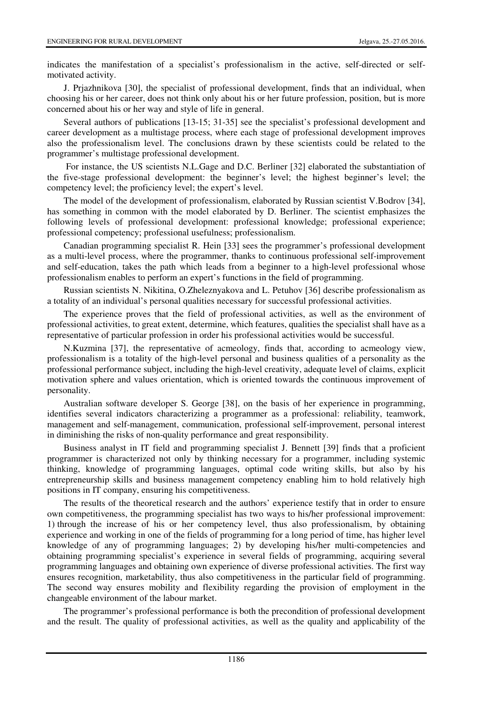indicates the manifestation of a specialist's professionalism in the active, self-directed or selfmotivated activity.

J. Prjazhnikova [30], the specialist of professional development, finds that an individual, when choosing his or her career, does not think only about his or her future profession, position, but is more concerned about his or her way and style of life in general.

Several authors of publications [13-15; 31-35] see the specialist's professional development and career development as a multistage process, where each stage of professional development improves also the professionalism level. The conclusions drawn by these scientists could be related to the programmer's multistage professional development.

 For instance, the US scientists N.L.Gage and D.C. Berliner [32] elaborated the substantiation of the five-stage professional development: the beginner's level; the highest beginner's level; the competency level; the proficiency level; the expert's level.

The model of the development of professionalism, elaborated by Russian scientist V.Bodrov [34], has something in common with the model elaborated by D. Berliner. The scientist emphasizes the following levels of professional development: professional knowledge; professional experience; professional competency; professional usefulness; professionalism.

Canadian programming specialist R. Hein [33] sees the programmer's professional development as a multi-level process, where the programmer, thanks to continuous professional self-improvement and self-education, takes the path which leads from a beginner to a high-level professional whose professionalism enables to perform an expert's functions in the field of programming.

Russian scientists N. Nikitina, O.Zheleznyakova and L. Petuhov [36] describe professionalism as a totality of an individual's personal qualities necessary for successful professional activities.

The experience proves that the field of professional activities, as well as the environment of professional activities, to great extent, determine, which features, qualities the specialist shall have as a representative of particular profession in order his professional activities would be successful.

N.Kuzmina [37], the representative of acmeology, finds that, according to acmeology view, professionalism is a totality of the high-level personal and business qualities of a personality as the professional performance subject, including the high-level creativity, adequate level of claims, explicit motivation sphere and values orientation, which is oriented towards the continuous improvement of personality.

Australian software developer S. George [38], on the basis of her experience in programming, identifies several indicators characterizing a programmer as a professional: reliability, teamwork, management and self-management, communication, professional self-improvement, personal interest in diminishing the risks of non-quality performance and great responsibility.

Business analyst in IT field and programming specialist J. Bennett [39] finds that a proficient programmer is characterized not only by thinking necessary for a programmer, including systemic thinking, knowledge of programming languages, optimal code writing skills, but also by his entrepreneurship skills and business management competency enabling him to hold relatively high positions in IT company, ensuring his competitiveness.

The results of the theoretical research and the authors' experience testify that in order to ensure own competitiveness, the programming specialist has two ways to his/her professional improvement: 1) through the increase of his or her competency level, thus also professionalism, by obtaining experience and working in one of the fields of programming for a long period of time, has higher level knowledge of any of programming languages; 2) by developing his/her multi-competencies and obtaining programming specialist's experience in several fields of programming, acquiring several programming languages and obtaining own experience of diverse professional activities. The first way ensures recognition, marketability, thus also competitiveness in the particular field of programming. The second way ensures mobility and flexibility regarding the provision of employment in the changeable environment of the labour market.

The programmer's professional performance is both the precondition of professional development and the result. The quality of professional activities, as well as the quality and applicability of the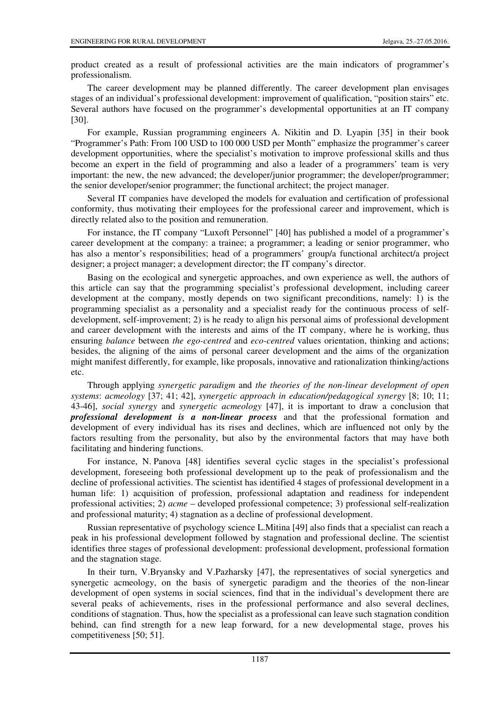product created as a result of professional activities are the main indicators of programmer's professionalism.

The career development may be planned differently. The career development plan envisages stages of an individual's professional development: improvement of qualification, "position stairs" etc. Several authors have focused on the programmer's developmental opportunities at an IT company [30].

For example, Russian programming engineers A. Nikitin and D. Lyapin [35] in their book "Programmer's Path: From 100 USD to 100 000 USD per Month" emphasize the programmer's career development opportunities, where the specialist's motivation to improve professional skills and thus become an expert in the field of programming and also a leader of a programmers' team is very important: the new, the new advanced; the developer/junior programmer; the developer/programmer; the senior developer/senior programmer; the functional architect; the project manager.

Several IT companies have developed the models for evaluation and certification of professional conformity, thus motivating their employees for the professional career and improvement, which is directly related also to the position and remuneration.

For instance, the IT company "Luxoft Personnel" [40] has published a model of a programmer's career development at the company: a trainee; a programmer; a leading or senior programmer, who has also a mentor's responsibilities; head of a programmers' group/a functional architect/a project designer; a project manager; a development director; the IT company's director.

Basing on the ecological and synergetic approaches, and own experience as well, the authors of this article can say that the programming specialist's professional development, including career development at the company, mostly depends on two significant preconditions, namely: 1) is the programming specialist as a personality and a specialist ready for the continuous process of selfdevelopment, self-improvement; 2) is he ready to align his personal aims of professional development and career development with the interests and aims of the IT company, where he is working, thus ensuring *balance* between *the ego-centred* and *eco-centred* values orientation, thinking and actions; besides, the aligning of the aims of personal career development and the aims of the organization might manifest differently, for example, like proposals, innovative and rationalization thinking/actions etc.

Through applying *synergetic paradigm* and *the theories of the non-linear development of open systems*: *acmeology* [37; 41; 42], *synergetic approach in education/pedagogical synergy* [8; 10; 11; 43-46], *social synergy* and *synergetic acmeology* [47], it is important to draw a conclusion that *professional development is a non-linear process* and that the professional formation and development of every individual has its rises and declines, which are influenced not only by the factors resulting from the personality, but also by the environmental factors that may have both facilitating and hindering functions.

For instance, N. Panova [48] identifies several cyclic stages in the specialist's professional development, foreseeing both professional development up to the peak of professionalism and the decline of professional activities. The scientist has identified 4 stages of professional development in a human life: 1) acquisition of profession, professional adaptation and readiness for independent professional activities; 2) *acme* – developed professional competence; 3) professional self-realization and professional maturity; 4) stagnation as a decline of professional development.

Russian representative of psychology science L.Mitina [49] also finds that a specialist can reach a peak in his professional development followed by stagnation and professional decline. The scientist identifies three stages of professional development: professional development, professional formation and the stagnation stage.

In their turn, V.Bryansky and V.Pazharsky [47], the representatives of social synergetics and synergetic acmeology, on the basis of synergetic paradigm and the theories of the non-linear development of open systems in social sciences, find that in the individual's development there are several peaks of achievements, rises in the professional performance and also several declines, conditions of stagnation. Thus, how the specialist as a professional can leave such stagnation condition behind, can find strength for a new leap forward, for a new developmental stage, proves his competitiveness [50; 51].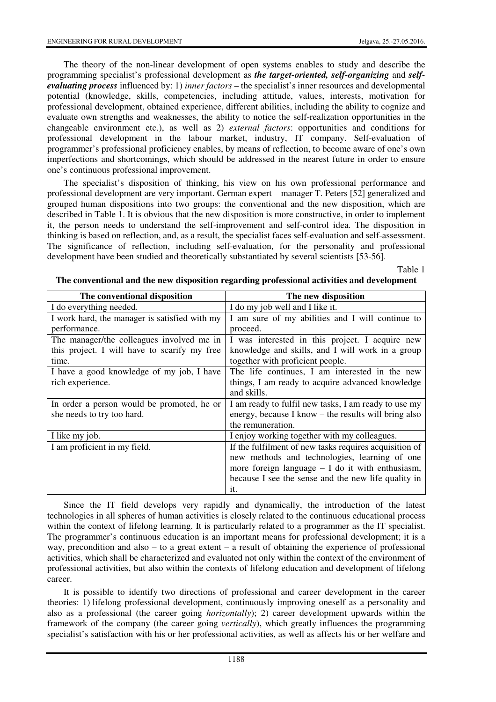The theory of the non-linear development of open systems enables to study and describe the programming specialist's professional development as *the target-oriented, self-organizing* and *selfevaluating process* influenced by: 1) *inner factors* – the specialist's inner resources and developmental potential (knowledge, skills, competencies, including attitude, values, interests, motivation for professional development, obtained experience, different abilities, including the ability to cognize and evaluate own strengths and weaknesses, the ability to notice the self-realization opportunities in the changeable environment etc.), as well as 2) *external factors*: opportunities and conditions for professional development in the labour market, industry, IT company. Self-evaluation of programmer's professional proficiency enables, by means of reflection, to become aware of one's own imperfections and shortcomings, which should be addressed in the nearest future in order to ensure one's continuous professional improvement.

The specialist's disposition of thinking, his view on his own professional performance and professional development are very important. German expert – manager T. Peters [52] generalized and grouped human dispositions into two groups: the conventional and the new disposition, which are described in Table 1. It is obvious that the new disposition is more constructive, in order to implement it, the person needs to understand the self-improvement and self-control idea. The disposition in thinking is based on reflection, and, as a result, the specialist faces self-evaluation and self-assessment. The significance of reflection, including self-evaluation, for the personality and professional development have been studied and theoretically substantiated by several scientists [53-56].

Table 1

| The conventional disposition                  | The new disposition                                    |
|-----------------------------------------------|--------------------------------------------------------|
| I do everything needed.                       | I do my job well and I like it.                        |
| I work hard, the manager is satisfied with my | I am sure of my abilities and I will continue to       |
| performance.                                  | proceed.                                               |
| The manager/the colleagues involved me in     | I was interested in this project. I acquire new        |
| this project. I will have to scarify my free  | knowledge and skills, and I will work in a group       |
| time.                                         | together with proficient people.                       |
| I have a good knowledge of my job, I have     | The life continues, I am interested in the new         |
| rich experience.                              | things, I am ready to acquire advanced knowledge       |
|                                               | and skills.                                            |
| In order a person would be promoted, he or    | I am ready to fulfil new tasks, I am ready to use my   |
| she needs to try too hard.                    | energy, because I know – the results will bring also   |
|                                               | the remuneration.                                      |
| I like my job.                                | I enjoy working together with my colleagues.           |
| I am proficient in my field.                  | If the fulfilment of new tasks requires acquisition of |
|                                               | new methods and technologies, learning of one          |
|                                               | more foreign language $- I$ do it with enthusiasm,     |
|                                               | because I see the sense and the new life quality in    |
|                                               | it.                                                    |

**The conventional and the new disposition regarding professional activities and development** 

Since the IT field develops very rapidly and dynamically, the introduction of the latest technologies in all spheres of human activities is closely related to the continuous educational process within the context of lifelong learning. It is particularly related to a programmer as the IT specialist. The programmer's continuous education is an important means for professional development; it is a way, precondition and also  $-$  to a great extent  $-$  a result of obtaining the experience of professional activities, which shall be characterized and evaluated not only within the context of the environment of professional activities, but also within the contexts of lifelong education and development of lifelong career.

It is possible to identify two directions of professional and career development in the career theories: 1) lifelong professional development, continuously improving oneself as a personality and also as a professional (the career going *horizontally*); 2) career development upwards within the framework of the company (the career going *vertically*), which greatly influences the programming specialist's satisfaction with his or her professional activities, as well as affects his or her welfare and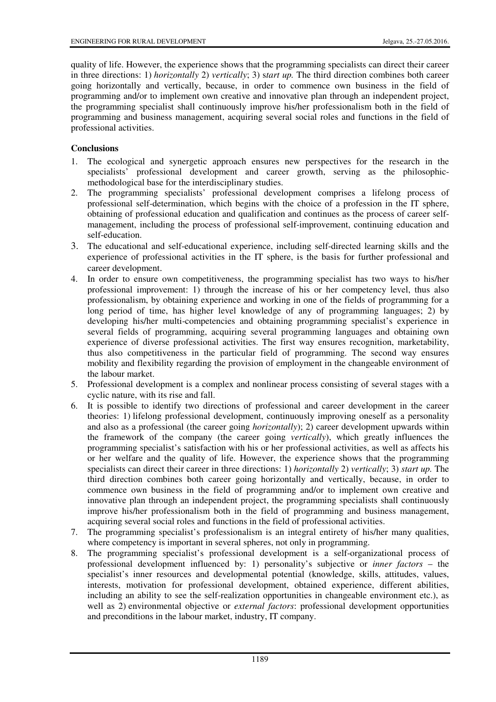quality of life. However, the experience shows that the programming specialists can direct their career in three directions: 1) *horizontally* 2) *vertically*; 3) s*tart up.* The third direction combines both career going horizontally and vertically, because, in order to commence own business in the field of programming and/or to implement own creative and innovative plan through an independent project, the programming specialist shall continuously improve his/her professionalism both in the field of programming and business management, acquiring several social roles and functions in the field of professional activities.

# **Conclusions**

- 1. The ecological and synergetic approach ensures new perspectives for the research in the specialists' professional development and career growth, serving as the philosophicmethodological base for the interdisciplinary studies.
- 2. The programming specialists' professional development comprises a lifelong process of professional self-determination, which begins with the choice of a profession in the IT sphere, obtaining of professional education and qualification and continues as the process of career selfmanagement, including the process of professional self-improvement, continuing education and self-education.
- 3. The educational and self-educational experience, including self-directed learning skills and the experience of professional activities in the IT sphere, is the basis for further professional and career development.
- 4. In order to ensure own competitiveness, the programming specialist has two ways to his/her professional improvement: 1) through the increase of his or her competency level, thus also professionalism, by obtaining experience and working in one of the fields of programming for a long period of time, has higher level knowledge of any of programming languages; 2) by developing his/her multi-competencies and obtaining programming specialist's experience in several fields of programming, acquiring several programming languages and obtaining own experience of diverse professional activities. The first way ensures recognition, marketability, thus also competitiveness in the particular field of programming. The second way ensures mobility and flexibility regarding the provision of employment in the changeable environment of the labour market.
- 5. Professional development is a complex and nonlinear process consisting of several stages with a cyclic nature, with its rise and fall.
- 6. It is possible to identify two directions of professional and career development in the career theories: 1) lifelong professional development, continuously improving oneself as a personality and also as a professional (the career going *horizontally*); 2) career development upwards within the framework of the company (the career going *vertically*), which greatly influences the programming specialist's satisfaction with his or her professional activities, as well as affects his or her welfare and the quality of life. However, the experience shows that the programming specialists can direct their career in three directions: 1) *horizontally* 2) *vertically*; 3) *start up.* The third direction combines both career going horizontally and vertically, because, in order to commence own business in the field of programming and/or to implement own creative and innovative plan through an independent project, the programming specialists shall continuously improve his/her professionalism both in the field of programming and business management, acquiring several social roles and functions in the field of professional activities.
- 7. The programming specialist's professionalism is an integral entirety of his/her many qualities, where competency is important in several spheres, not only in programming.
- 8. The programming specialist's professional development is a self-organizational process of professional development influenced by: 1) personality's subjective or *inner factors* – the specialist's inner resources and developmental potential (knowledge, skills, attitudes, values, interests, motivation for professional development, obtained experience, different abilities, including an ability to see the self-realization opportunities in changeable environment etc.), as well as 2) environmental objective or *external factors*: professional development opportunities and preconditions in the labour market, industry, IT company.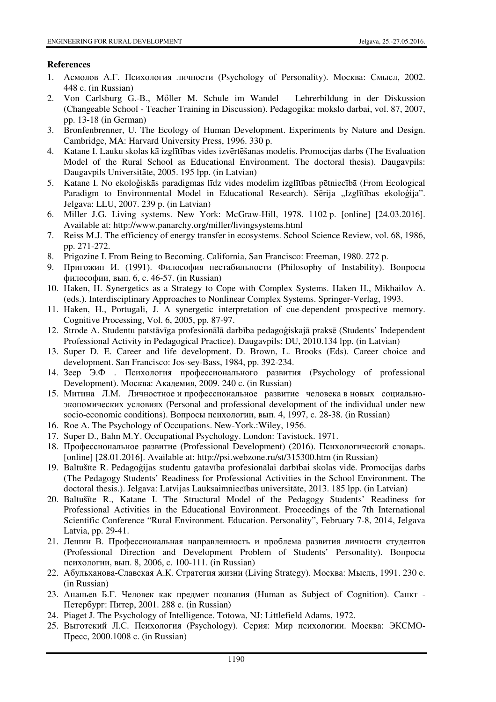# **References**

- 1. Асмолов А.Г. Психология личности (Psychology of Personality). Москва: Смысл, 2002. 448 c. (in Russian)
- 2. Von Carlsburg G.-B., Mőller M. Schule im Wandel Lehrerbildung in der Diskussion (Changeable School - Teacher Training in Discussion). Pedagogika: mokslo darbai, vol. 87, 2007, pp. 13-18 (in German)
- 3. Bronfenbrenner, U. The Ecology of Human Development. Experiments by Nature and Design. Cambridge, MA: Harvard University Press, 1996. 330 p.
- 4. Katane I. Lauku skolas kā izglītības vides izvērtēšanas modelis. Promocijas darbs (The Evaluation Model of the Rural School as Educational Environment. The doctoral thesis). Daugavpils: Daugavpils Universitāte, 2005. 195 lpp. (in Latvian)
- 5. Katane I. No ekoloģiskās paradigmas līdz vides modelim izglītības pētniecībā (From Ecological Paradigm to Environmental Model in Educational Research). Sērija "Izglītības ekoloģija". Jelgava: LLU, 2007. 239 p. (in Latvian)
- 6. Miller J.G. Living systems. New York: McGraw-Hill, 1978. 1102 p. [online] [24.03.2016]. Available at: http://www.panarchy.org/miller/livingsystems.html
- 7. Reiss M.J. The efficiency of energy transfer in ecosystems. School Science Review, vol. 68, 1986, pp. 271-272.
- 8. Prigozine I. From Being to Becoming. California, San Francisco: Freeman, 1980. 272 p.
- 9. Пригожин И. (1991). Философия нестабильности (Philosophy of Instability). Вопросы философии, вып. 6, c. 46-57. (in Russian)
- 10. Haken, H. Synergetics as a Strategy to Cope with Complex Systems. Haken H., Mikhailov A. (eds.). Interdisciplinary Approaches to Nonlinear Complex Systems. Springer-Verlag, 1993.
- 11. Haken, H., Portugali, J. A synergetic interpretation of cue-dependent prospective memory. Cognitive Processing, Vol. 6, 2005, pp. 87-97.
- 12. Strode A. Studentu patstāvīga profesionālā darbība pedagoģiskajā praksē (Students' Independent Professional Activity in Pedagogical Practice). Daugavpils: DU, 2010.134 lpp. (in Latvian)
- 13. Super D. E. Career and life development. D. Brown, L. Brooks (Eds). Career choice and development. San Francisco: Jos-sey-Bass, 1984, pp. 392-234.
- 14. Зеер Э.Ф . Психология профессионального развития (Psychology of professional Development). Москва: Академия, 2009. 240 с. (in Russian)
- 15. Митина Л.М. Личностное и профессиональное развитие человека в новых социальноэкономических условиях (Personal and professional development of the individual under new socio-economic conditions). Вопросы психологии, вып. 4, 1997, c. 28-38. (in Russian)
- 16. Roe A. The Psychology of Occupations. New-York.:Wiley, 1956.
- 17. Super D., Bahn M.Y. Occupational Psychology. London: Tavistock. 1971.
- 18. Профессиональное развитие (Professional Development) (2016). Психологический словарь. [online] [28.01.2016]. Available at: http://psi.webzone.ru/st/315300.htm (in Russian)
- 19. Baltušīte R. Pedagoģijas studentu gatavība profesionālai darbībai skolas vidē. Promocijas darbs (The Pedagogy Students' Readiness for Professional Activities in the School Environment. The doctoral thesis.). Jelgava: Latvijas Lauksaimniecības universitāte, 2013. 185 lpp. (in Latvian)
- 20. Baltušīte R., Katane I. The Structural Model of the Pedagogy Students' Readiness for Professional Activities in the Educational Environment. Proceedings of the 7th International Scientific Conference "Rural Environment. Education. Personality", February 7-8, 2014, Jelgava Latvia, pp. 29-41.
- 21. Лешин В. Профессиональная направленность и проблема развития личности студентов (Professional Direction and Development Problem of Students' Personality). Вопросы психологии, вып. 8, 2006, c. 100-111. (in Russian)
- 22. Абульханова-Славская А.К. Стратегия жизни (Living Strategy). Москва: Мысль, 1991. 230 с. (in Russian)
- 23. Ананьев Б.Г. Человек как предмет познания (Human as Subject of Cognition). Санкт Петербург: Питер, 2001. 288 с. (in Russian)
- 24. Piaget J. The Psychology of Intelligence. Totowa, NJ: Littlefield Adams, 1972.
- 25. Выготский Л.С. Психология (Psychology). Серия: Мир психологии. Москва: ЭКСМО-Пресс, 2000.1008 c. (in Russian)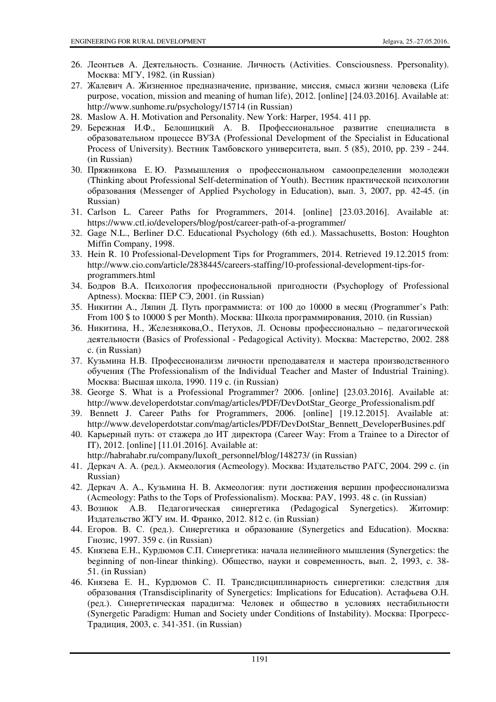- 26. Леонтьев A. Деятельность. Сознание. Личность (Activities. Consciousness. Ppersonality). Москва: МГУ, 1982. (in Russian)
- 27. Жалевич А. Жизненное предназначение, призвание, миссия, смысл жизни человека (Life purpose, vocation, mission and meaning of human life), 2012. [online] [24.03.2016]. Available at: http://www.sunhome.ru/psychology/15714 (in Russian)
- 28. Maslow A. H. Motivation and Personality. New York: Harper, 1954. 411 pp.
- 29. Бережная И.Ф., Белошицкий А. В. Профессиональное развитие специалиста в образовательном процессе ВУЗА (Professional Development of the Specialist in Educational Process of University). Вестник Тамбовского университета, вып. 5 (85), 2010, pp. 239 - 244. (in Russian)
- 30. Пряжникова Е. Ю. Размышления о профессиональном самоопределении молодежи (Thinking about Professional Self-determination of Youth). Вестник практической психологии образования (Messenger of Applied Psychology in Education), вып. 3, 2007, pp. 42-45. (in Russian)
- 31. Carlson L. Career Paths for Programmers, 2014. [online] [23.03.2016]. Available at: https://www.ctl.io/developers/blog/post/career-path-of-a-programmer/
- 32. Gage N.L., Berliner D.C. Educational Psychology (6th ed.). Massachusetts, Boston: Houghton Miffin Company, 1998.
- 33. Hein R. 10 Professional-Development Tips for Programmers, 2014. Retrieved 19.12.2015 from: http://www.cio.com/article/2838445/careers-staffing/10-professional-development-tips-forprogrammers.html
- 34. Бодров В.А. Психология профессиональной пригодности (Psychoplogy of Professional Aptness). Москва: ПЕР СЭ, 2001. (in Russian)
- 35. Никитин А., Ляпин Д. Путь программиста: от 100 до 10000 в месяц (Programmer's Path: From 100 \$ to 10000 \$ per Month). Москва: Школа программирования, 2010. (in Russian)
- 36. Никитина, Н., Железнякова,О., Петухов, Л. Основы профессионально педагогической деятельности (Basics of Professional - Pedagogical Activity). Москва: Мастерство, 2002. 288 с. (in Russian)
- 37. Кузьмина Н.В. Профессионализм личности преподавателя и мастера производственного обучения (The Professionalism of the Individual Teacher and Master of Industrial Training). Москва: Высшая школа, 1990. 119 с. (in Russian)
- 38. George S. What is a Professional Programmer? 2006. [online] [23.03.2016]. Available at: http://www.developerdotstar.com/mag/articles/PDF/DevDotStar\_George\_Professionalism.pdf
- 39. Bennett J. Career Paths for Programmers, 2006. [online] [19.12.2015]. Available at: http://www.developerdotstar.com/mag/articles/PDF/DevDotStar\_Bennett\_DeveloperBusines.pdf
- 40. Карьерный путь: от стажера до ИТ директора (Career Way: From a Trainee to a Director of IT), 2012. [online] [11.01.2016]. Available at: http://habrahabr.ru/company/luxoft\_personnel/blog/148273/ (in Russian)
- 41. Деркач А. А. (ред.). Aкмеология (Acmeology). Москва: Издательство РАГС, 2004. 299 c. (in Russian)
- 42. Деркач А. А., Кузьмина Н. В. Акмеология: пути достижения вершин профессионализма (Acmeology: Paths to the Tops of Professionalism). Москва: РАУ, 1993. 48 c. (in Russian)
- 43. Вознюк А.В. Педагогическая синергетика (Pedagogical Synergetics). Житомир: Издательство ЖГУ им. И. Франко, 2012. 812 с. (in Russian)
- 44. Егоров. В. С. (ред.). Синергетика и образование (Synergetics and Education). Mocква: Гнозис, 1997. 359 с. (in Russian)
- 45. Князева Е.Н., Курдюмов С.П. Синергетика: начала нелинейного мышления (Synergetics: the beginning of non-linear thinking). Обществo, науки и современность, вып. 2, 1993, c. 38- 51. (in Russian)
- 46. Князева Е. Н., Курдюмов С. П. Трансдисциплинарность синергетики: следствия для образования (Transdisciplinarity of Synergetics: Implications for Education). Астафьева О.Н. (pед.). Синергетическая парадигма: Человек и общество в условиях нестабильности (Synergetic Paradigm: Human and Society under Conditions of Instability). Москва: Прогресс-Традиция, 2003, с. 341-351. (in Russian)